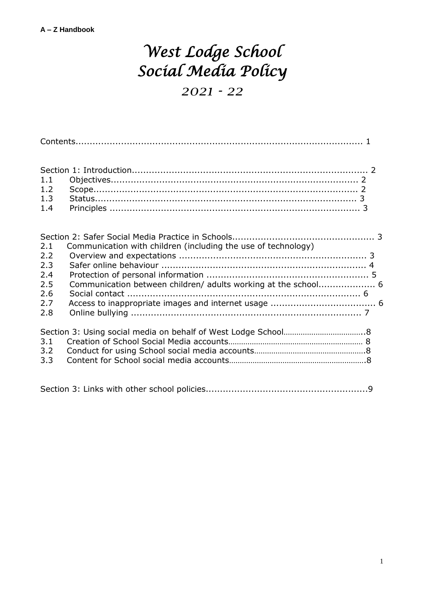# *West Lodge School Social Media Policy*

*2021 - 22*

| 1.1<br>1.2<br>1.3<br>1.4 |                                                                |  |
|--------------------------|----------------------------------------------------------------|--|
|                          |                                                                |  |
| 2.1                      | Communication with children (including the use of technology)  |  |
| 2.2<br>2.3               |                                                                |  |
| 2.4                      |                                                                |  |
| 2.5                      | Communication between children/ adults working at the school 6 |  |
| 2.6                      |                                                                |  |
| 2.7<br>2.8               |                                                                |  |
|                          |                                                                |  |
|                          |                                                                |  |
| 3.1                      |                                                                |  |
| 3.2<br>3.3               |                                                                |  |
|                          |                                                                |  |
|                          |                                                                |  |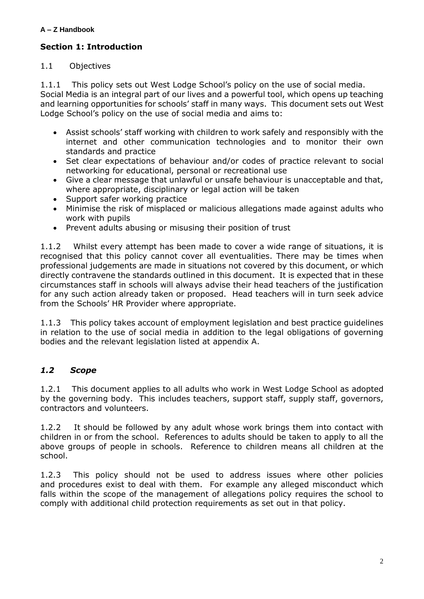#### **Section 1: Introduction**

#### 1.1 Objectives

1.1.1 This policy sets out West Lodge School's policy on the use of social media. Social Media is an integral part of our lives and a powerful tool, which opens up teaching and learning opportunities for schools' staff in many ways. This document sets out West Lodge School's policy on the use of social media and aims to:

- Assist schools' staff working with children to work safely and responsibly with the internet and other communication technologies and to monitor their own standards and practice
- Set clear expectations of behaviour and/or codes of practice relevant to social networking for educational, personal or recreational use
- Give a clear message that unlawful or unsafe behaviour is unacceptable and that, where appropriate, disciplinary or legal action will be taken
- Support safer working practice
- Minimise the risk of misplaced or malicious allegations made against adults who work with pupils
- Prevent adults abusing or misusing their position of trust

1.1.2 Whilst every attempt has been made to cover a wide range of situations, it is recognised that this policy cannot cover all eventualities. There may be times when professional judgements are made in situations not covered by this document, or which directly contravene the standards outlined in this document. It is expected that in these circumstances staff in schools will always advise their head teachers of the justification for any such action already taken or proposed. Head teachers will in turn seek advice from the Schools' HR Provider where appropriate.

1.1.3 This policy takes account of employment legislation and best practice guidelines in relation to the use of social media in addition to the legal obligations of governing bodies and the relevant legislation listed at appendix A.

## *1.2 Scope*

1.2.1 This document applies to all adults who work in West Lodge School as adopted by the governing body. This includes teachers, support staff, supply staff, governors, contractors and volunteers.

1.2.2 It should be followed by any adult whose work brings them into contact with children in or from the school. References to adults should be taken to apply to all the above groups of people in schools. Reference to children means all children at the school.

1.2.3 This policy should not be used to address issues where other policies and procedures exist to deal with them. For example any alleged misconduct which falls within the scope of the management of allegations policy requires the school to comply with additional child protection requirements as set out in that policy.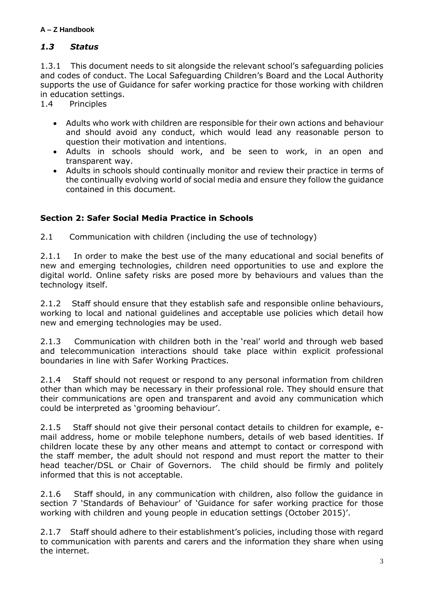## *1.3 Status*

1.3.1 This document needs to sit alongside the relevant school's safeguarding policies and codes of conduct. The Local Safeguarding Children's Board and the Local Authority supports the use of Guidance for safer working practice for those working with children in education settings.

1.4 Principles

- Adults who work with children are responsible for their own actions and behaviour and should avoid any conduct, which would lead any reasonable person to question their motivation and intentions.
- Adults in schools should work, and be seen to work, in an open and transparent way.
- Adults in schools should continually monitor and review their practice in terms of the continually evolving world of social media and ensure they follow the guidance contained in this document.

# **Section 2: Safer Social Media Practice in Schools**

2.1 Communication with children (including the use of technology)

2.1.1 In order to make the best use of the many educational and social benefits of new and emerging technologies, children need opportunities to use and explore the digital world. Online safety risks are posed more by behaviours and values than the technology itself.

2.1.2 Staff should ensure that they establish safe and responsible online behaviours, working to local and national guidelines and acceptable use policies which detail how new and emerging technologies may be used.

2.1.3 Communication with children both in the 'real' world and through web based and telecommunication interactions should take place within explicit professional boundaries in line with Safer Working Practices.

2.1.4 Staff should not request or respond to any personal information from children other than which may be necessary in their professional role. They should ensure that their communications are open and transparent and avoid any communication which could be interpreted as 'grooming behaviour'.

2.1.5 Staff should not give their personal contact details to children for example, email address, home or mobile telephone numbers, details of web based identities. If children locate these by any other means and attempt to contact or correspond with the staff member, the adult should not respond and must report the matter to their head teacher/DSL or Chair of Governors. The child should be firmly and politely informed that this is not acceptable.

2.1.6 Staff should, in any communication with children, also follow the guidance in section 7 'Standards of Behaviour' of 'Guidance for safer working practice for those working with children and young people in education settings (October 2015)'.

2.1.7 Staff should adhere to their establishment's policies, including those with regard to communication with parents and carers and the information they share when using the internet.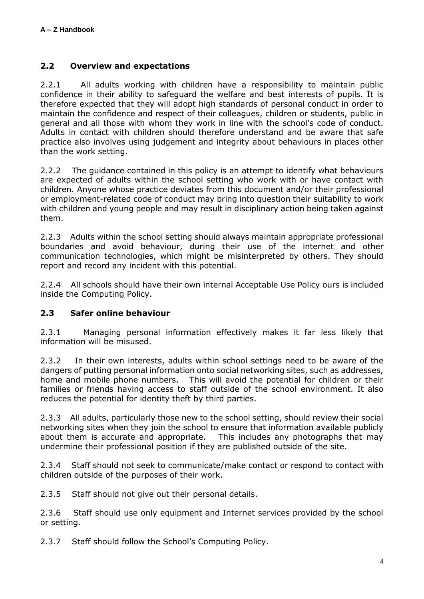#### **2.2 Overview and expectations**

2.2.1 All adults working with children have a responsibility to maintain public confidence in their ability to safeguard the welfare and best interests of pupils. It is therefore expected that they will adopt high standards of personal conduct in order to maintain the confidence and respect of their colleagues, children or students, public in general and all those with whom they work in line with the school's code of conduct. Adults in contact with children should therefore understand and be aware that safe practice also involves using judgement and integrity about behaviours in places other than the work setting.

2.2.2 The guidance contained in this policy is an attempt to identify what behaviours are expected of adults within the school setting who work with or have contact with children. Anyone whose practice deviates from this document and/or their professional or employment-related code of conduct may bring into question their suitability to work with children and young people and may result in disciplinary action being taken against them.

2.2.3 Adults within the school setting should always maintain appropriate professional boundaries and avoid behaviour, during their use of the internet and other communication technologies, which might be misinterpreted by others. They should report and record any incident with this potential.

2.2.4 All schools should have their own internal Acceptable Use Policy ours is included inside the Computing Policy.

## **2.3 Safer online behaviour**

2.3.1 Managing personal information effectively makes it far less likely that information will be misused.

2.3.2 In their own interests, adults within school settings need to be aware of the dangers of putting personal information onto social networking sites, such as addresses, home and mobile phone numbers. This will avoid the potential for children or their families or friends having access to staff outside of the school environment. It also reduces the potential for identity theft by third parties.

2.3.3 All adults, particularly those new to the school setting, should review their social networking sites when they join the school to ensure that information available publicly about them is accurate and appropriate. This includes any photographs that may undermine their professional position if they are published outside of the site.

2.3.4 Staff should not seek to communicate/make contact or respond to contact with children outside of the purposes of their work.

2.3.5 Staff should not give out their personal details.

2.3.6 Staff should use only equipment and Internet services provided by the school or setting.

2.3.7 Staff should follow the School's Computing Policy.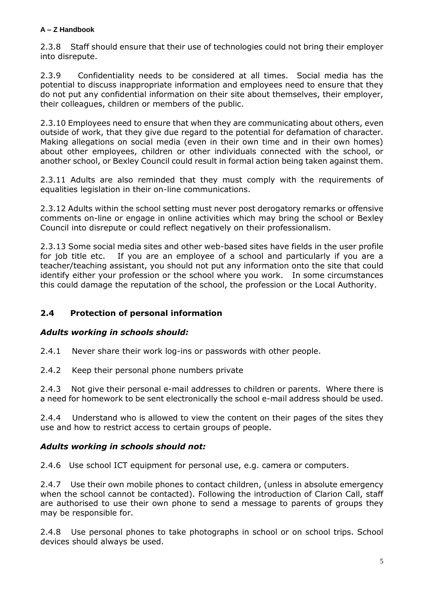2.3.8 Staff should ensure that their use of technologies could not bring their employer into disrepute.

2.3.9 Confidentiality needs to be considered at all times. Social media has the potential to discuss inappropriate information and employees need to ensure that they do not put any confidential information on their site about themselves, their employer, their colleagues, children or members of the public.

2.3.10 Employees need to ensure that when they are communicating about others, even outside of work, that they give due regard to the potential for defamation of character. Making allegations on social media (even in their own time and in their own homes) about other employees, children or other individuals connected with the school, or another school, or Bexley Council could result in formal action being taken against them.

2.3.11 Adults are also reminded that they must comply with the requirements of equalities legislation in their on-line communications.

2.3.12 Adults within the school setting must never post derogatory remarks or offensive comments on-line or engage in online activities which may bring the school or Bexley Council into disrepute or could reflect negatively on their professionalism.

2.3.13 Some social media sites and other web-based sites have fields in the user profile for job title etc. If you are an employee of a school and particularly if you are a teacher/teaching assistant, you should not put any information onto the site that could identify either your profession or the school where you work. In some circumstances this could damage the reputation of the school, the profession or the Local Authority.

# **2.4 Protection of personal information**

## *Adults working in schools should:*

2.4.1 Never share their work log-ins or passwords with other people.

2.4.2 Keep their personal phone numbers private

2.4.3 Not give their personal e-mail addresses to children or parents. Where there is a need for homework to be sent electronically the school e-mail address should be used.

2.4.4 Understand who is allowed to view the content on their pages of the sites they use and how to restrict access to certain groups of people.

## *Adults working in schools should not:*

2.4.6 Use school ICT equipment for personal use, e.g. camera or computers.

2.4.7 Use their own mobile phones to contact children, (unless in absolute emergency when the school cannot be contacted). Following the introduction of Clarion Call, staff are authorised to use their own phone to send a message to parents of groups they may be responsible for.

2.4.8 Use personal phones to take photographs in school or on school trips. School devices should always be used.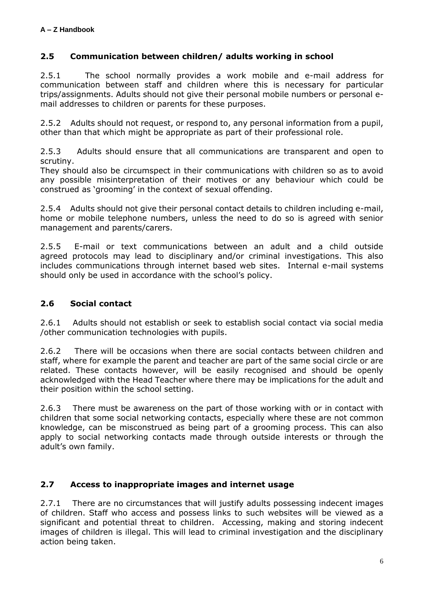## **2.5 Communication between children/ adults working in school**

2.5.1 The school normally provides a work mobile and e-mail address for communication between staff and children where this is necessary for particular trips/assignments. Adults should not give their personal mobile numbers or personal email addresses to children or parents for these purposes.

2.5.2 Adults should not request, or respond to, any personal information from a pupil, other than that which might be appropriate as part of their professional role.

2.5.3 Adults should ensure that all communications are transparent and open to scrutiny.

They should also be circumspect in their communications with children so as to avoid any possible misinterpretation of their motives or any behaviour which could be construed as 'grooming' in the context of sexual offending.

2.5.4 Adults should not give their personal contact details to children including e-mail, home or mobile telephone numbers, unless the need to do so is agreed with senior management and parents/carers.

2.5.5 E-mail or text communications between an adult and a child outside agreed protocols may lead to disciplinary and/or criminal investigations. This also includes communications through internet based web sites. Internal e-mail systems should only be used in accordance with the school's policy.

## **2.6 Social contact**

2.6.1 Adults should not establish or seek to establish social contact via social media /other communication technologies with pupils.

2.6.2 There will be occasions when there are social contacts between children and staff, where for example the parent and teacher are part of the same social circle or are related. These contacts however, will be easily recognised and should be openly acknowledged with the Head Teacher where there may be implications for the adult and their position within the school setting.

2.6.3 There must be awareness on the part of those working with or in contact with children that some social networking contacts, especially where these are not common knowledge, can be misconstrued as being part of a grooming process. This can also apply to social networking contacts made through outside interests or through the adult's own family.

## **2.7 Access to inappropriate images and internet usage**

2.7.1 There are no circumstances that will justify adults possessing indecent images of children. Staff who access and possess links to such websites will be viewed as a significant and potential threat to children. Accessing, making and storing indecent images of children is illegal. This will lead to criminal investigation and the disciplinary action being taken.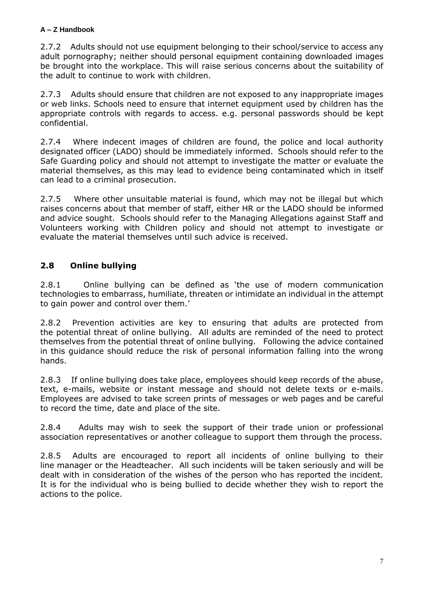2.7.2 Adults should not use equipment belonging to their school/service to access any adult pornography; neither should personal equipment containing downloaded images be brought into the workplace. This will raise serious concerns about the suitability of the adult to continue to work with children.

2.7.3 Adults should ensure that children are not exposed to any inappropriate images or web links. Schools need to ensure that internet equipment used by children has the appropriate controls with regards to access. e.g. personal passwords should be kept confidential.

2.7.4 Where indecent images of children are found, the police and local authority designated officer (LADO) should be immediately informed. Schools should refer to the Safe Guarding policy and should not attempt to investigate the matter or evaluate the material themselves, as this may lead to evidence being contaminated which in itself can lead to a criminal prosecution.

2.7.5 Where other unsuitable material is found, which may not be illegal but which raises concerns about that member of staff, either HR or the LADO should be informed and advice sought. Schools should refer to the Managing Allegations against Staff and Volunteers working with Children policy and should not attempt to investigate or evaluate the material themselves until such advice is received.

# **2.8 Online bullying**

2.8.1 Online bullying can be defined as 'the use of modern communication technologies to embarrass, humiliate, threaten or intimidate an individual in the attempt to gain power and control over them.'

2.8.2 Prevention activities are key to ensuring that adults are protected from the potential threat of online bullying. All adults are reminded of the need to protect themselves from the potential threat of online bullying. Following the advice contained in this guidance should reduce the risk of personal information falling into the wrong hands.

2.8.3 If online bullying does take place, employees should keep records of the abuse, text, e-mails, website or instant message and should not delete texts or e-mails. Employees are advised to take screen prints of messages or web pages and be careful to record the time, date and place of the site.

2.8.4 Adults may wish to seek the support of their trade union or professional association representatives or another colleague to support them through the process.

2.8.5 Adults are encouraged to report all incidents of online bullying to their line manager or the Headteacher. All such incidents will be taken seriously and will be dealt with in consideration of the wishes of the person who has reported the incident. It is for the individual who is being bullied to decide whether they wish to report the actions to the police.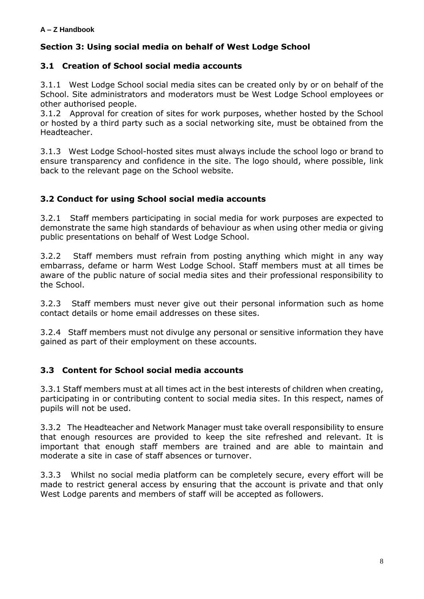# **Section 3: Using social media on behalf of West Lodge School**

#### **3.1 Creation of School social media accounts**

3.1.1 West Lodge School social media sites can be created only by or on behalf of the School. Site administrators and moderators must be West Lodge School employees or other authorised people.

3.1.2 Approval for creation of sites for work purposes, whether hosted by the School or hosted by a third party such as a social networking site, must be obtained from the Headteacher.

3.1.3 West Lodge School-hosted sites must always include the school logo or brand to ensure transparency and confidence in the site. The logo should, where possible, link back to the relevant page on the School website.

#### **3.2 Conduct for using School social media accounts**

3.2.1 Staff members participating in social media for work purposes are expected to demonstrate the same high standards of behaviour as when using other media or giving public presentations on behalf of West Lodge School.

3.2.2 Staff members must refrain from posting anything which might in any way embarrass, defame or harm West Lodge School. Staff members must at all times be aware of the public nature of social media sites and their professional responsibility to the School.

3.2.3 Staff members must never give out their personal information such as home contact details or home email addresses on these sites.

3.2.4 Staff members must not divulge any personal or sensitive information they have gained as part of their employment on these accounts.

## **3.3 Content for School social media accounts**

3.3.1 Staff members must at all times act in the best interests of children when creating, participating in or contributing content to social media sites. In this respect, names of pupils will not be used.

3.3.2 The Headteacher and Network Manager must take overall responsibility to ensure that enough resources are provided to keep the site refreshed and relevant. It is important that enough staff members are trained and are able to maintain and moderate a site in case of staff absences or turnover.

3.3.3 Whilst no social media platform can be completely secure, every effort will be made to restrict general access by ensuring that the account is private and that only West Lodge parents and members of staff will be accepted as followers.